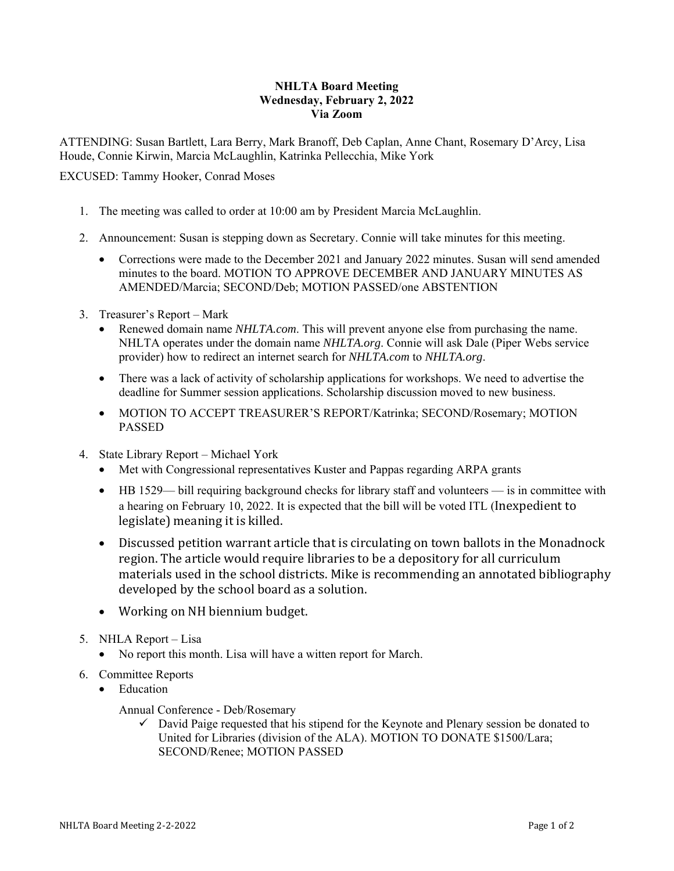## **NHLTA Board Meeting Wednesday, February 2, 2022 Via Zoom**

ATTENDING: Susan Bartlett, Lara Berry, Mark Branoff, Deb Caplan, Anne Chant, Rosemary D'Arcy, Lisa Houde, Connie Kirwin, Marcia McLaughlin, Katrinka Pellecchia, Mike York

EXCUSED: Tammy Hooker, Conrad Moses

- 1. The meeting was called to order at 10:00 am by President Marcia McLaughlin.
- 2. Announcement: Susan is stepping down as Secretary. Connie will take minutes for this meeting.
	- Corrections were made to the December 2021 and January 2022 minutes. Susan will send amended minutes to the board. MOTION TO APPROVE DECEMBER AND JANUARY MINUTES AS AMENDED/Marcia; SECOND/Deb; MOTION PASSED/one ABSTENTION
- 3. Treasurer's Report Mark
	- Renewed domain name *NHLTA.com*. This will prevent anyone else from purchasing the name. NHLTA operates under the domain name *NHLTA.org*. Connie will ask Dale (Piper Webs service provider) how to redirect an internet search for *NHLTA.com* to *NHLTA.org*.
	- There was a lack of activity of scholarship applications for workshops. We need to advertise the deadline for Summer session applications. Scholarship discussion moved to new business.
	- MOTION TO ACCEPT TREASURER'S REPORT/Katrinka; SECOND/Rosemary; MOTION PASSED
- 4. State Library Report Michael York
	- Met with Congressional representatives Kuster and Pappas regarding ARPA grants
	- HB 1529— bill requiring background checks for library staff and volunteers is in committee with a hearing on February 10, 2022. It is expected that the bill will be voted ITL (Inexpedient to legislate) meaning it is killed.
	- Discussed petition warrant article that is circulating on town ballots in the Monadnock region. The article would require libraries to be a depository for all curriculum materials used in the school districts. Mike is recommending an annotated bibliography developed by the school board as a solution.
	- Working on NH biennium budget.
- 5. NHLA Report Lisa
	- No report this month. Lisa will have a witten report for March.
- 6. Committee Reports
	- Education
		- Annual Conference Deb/Rosemary
			- $\checkmark$  David Paige requested that his stipend for the Keynote and Plenary session be donated to United for Libraries (division of the ALA). MOTION TO DONATE \$1500/Lara; SECOND/Renee; MOTION PASSED